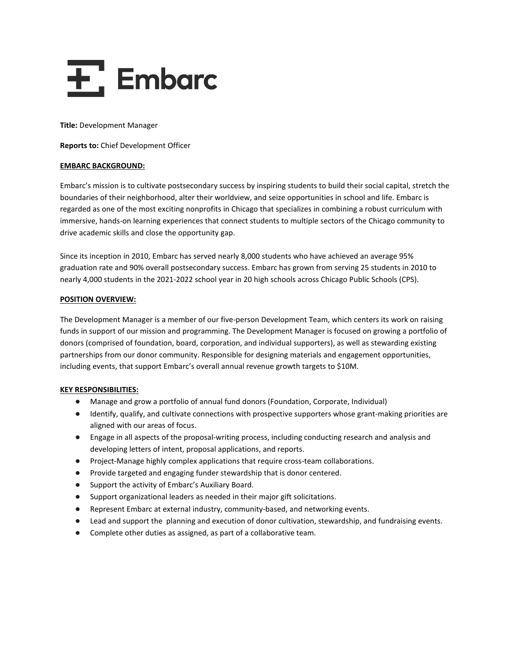

**Title:** Development Manager

**Reports to:** Chief Development Officer

## **EMBARC BACKGROUND:**

Embarc's mission is to cultivate postsecondary success by inspiring students to build their social capital, stretch the boundaries of their neighborhood, alter their worldview, and seize opportunities in school and life. Embarc is regarded as one of the most exciting nonprofits in Chicago that specializes in combining a robust curriculum with immersive, hands-on learning experiences that connect students to multiple sectors of the Chicago community to drive academic skills and close the opportunity gap.

Since its inception in 2010, Embarc has served nearly 8,000 students who have achieved an average 95% graduation rate and 90% overall postsecondary success. Embarc has grown from serving 25 students in 2010 to nearly 4,000 students in the 2021-2022 school year in 20 high schools across Chicago Public Schools (CPS).

## **POSITION OVERVIEW:**

The Development Manager is a member of our five-person Development Team, which centers its work on raising funds in support of our mission and programming. The Development Manager is focused on growing a portfolio of donors (comprised of foundation, board, corporation, and individual supporters), as well as stewarding existing partnerships from our donor community. Responsible for designing materials and engagement opportunities, including events, that support Embarc's overall annual revenue growth targets to \$10M.

# **KEY RESPONSIBILITIES:**

- Manage and grow a portfolio of annual fund donors (Foundation, Corporate, Individual)
- Identify, qualify, and cultivate connections with prospective supporters whose grant-making priorities are aligned with our areas of focus.
- Engage in all aspects of the proposal-writing process, including conducting research and analysis and developing letters of intent, proposal applications, and reports.
- Project-Manage highly complex applications that require cross-team collaborations.
- Provide targeted and engaging funder stewardship that is donor centered.
- Support the activity of Embarc's Auxiliary Board.
- Support organizational leaders as needed in their major gift solicitations.
- Represent Embarc at external industry, community-based, and networking events.
- Lead and support the planning and execution of donor cultivation, stewardship, and fundraising events.
- Complete other duties as assigned, as part of a collaborative team.